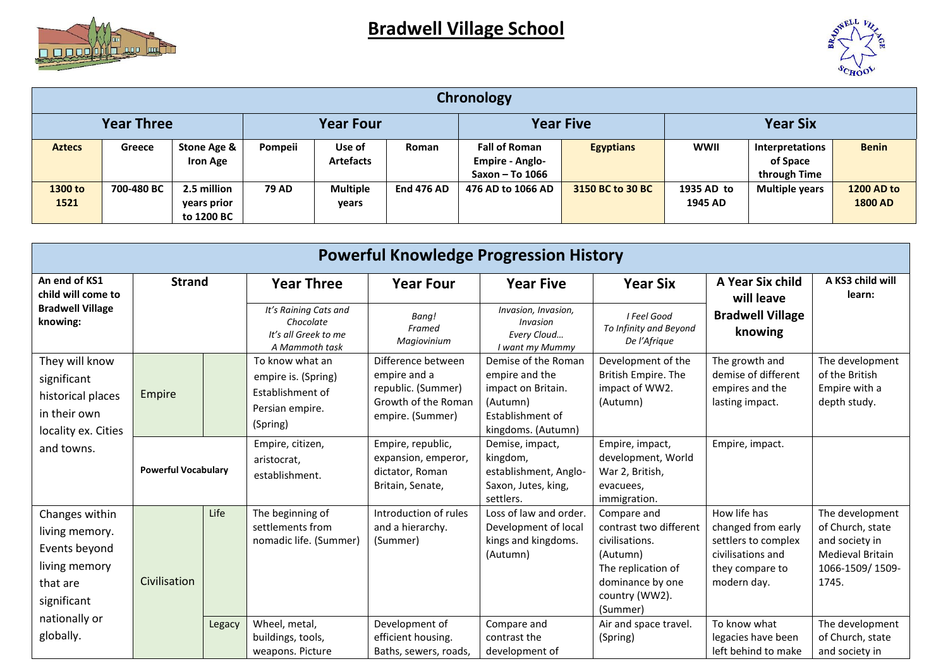



| Chronology        |            |                 |                  |                  |                   |                        |                  |                 |                       |                   |  |
|-------------------|------------|-----------------|------------------|------------------|-------------------|------------------------|------------------|-----------------|-----------------------|-------------------|--|
| <b>Year Three</b> |            |                 | <b>Year Four</b> |                  |                   | <b>Year Five</b>       |                  | <b>Year Six</b> |                       |                   |  |
| <b>Aztecs</b>     | Greece     | Stone Age &     | Pompeii          | Use of           | <b>Roman</b>      | <b>Fall of Roman</b>   | <b>Egyptians</b> | <b>WWII</b>     | Interpretations       | <b>Benin</b>      |  |
|                   |            | <b>Iron Age</b> |                  | <b>Artefacts</b> |                   | <b>Empire - Anglo-</b> |                  |                 | of Space              |                   |  |
|                   |            |                 |                  |                  |                   | Saxon - To 1066        |                  |                 | through Time          |                   |  |
| 1300 to           | 700-480 BC | 2.5 million     | <b>79 AD</b>     | <b>Multiple</b>  | <b>End 476 AD</b> | 476 AD to 1066 AD      | 3150 BC to 30 BC | 1935 AD to      | <b>Multiple years</b> | <b>1200 AD to</b> |  |
| 1521              |            | years prior     |                  | years            |                   |                        |                  | 1945 AD         |                       | <b>1800 AD</b>    |  |
|                   |            | to 1200 BC      |                  |                  |                   |                        |                  |                 |                       |                   |  |

| <b>Powerful Knowledge Progression History</b>                                                                  |                            |        |                                                                                                                |                                                                                                     |                                                                                                                   |                                                                                                                                             |                                                                                                                  |                                                                                                       |  |  |
|----------------------------------------------------------------------------------------------------------------|----------------------------|--------|----------------------------------------------------------------------------------------------------------------|-----------------------------------------------------------------------------------------------------|-------------------------------------------------------------------------------------------------------------------|---------------------------------------------------------------------------------------------------------------------------------------------|------------------------------------------------------------------------------------------------------------------|-------------------------------------------------------------------------------------------------------|--|--|
| An end of KS1<br>child will come to                                                                            | <b>Strand</b>              |        | <b>Year Three</b>                                                                                              | <b>Year Four</b>                                                                                    | <b>Year Five</b>                                                                                                  | <b>Year Six</b>                                                                                                                             | A Year Six child<br>will leave                                                                                   | A KS3 child will<br>learn:                                                                            |  |  |
| <b>Bradwell Village</b><br>knowing:                                                                            |                            |        | It's Raining Cats and<br>Bang!<br>Chocolate<br>Framed<br>It's all Greek to me<br>Magiovinium<br>A Mammoth task |                                                                                                     | Invasion, Invasion,<br>Invasion<br>Every Cloud<br>I want my Mummy                                                 | I Feel Good<br>To Infinity and Beyond<br>De l'Afrique                                                                                       | <b>Bradwell Village</b><br>knowing                                                                               |                                                                                                       |  |  |
| They will know<br>significant<br>historical places<br>in their own<br>locality ex. Cities<br>and towns.        | Empire                     |        | To know what an<br>empire is. (Spring)<br>Establishment of<br>Persian empire.<br>(Spring)                      | Difference between<br>empire and a<br>republic. (Summer)<br>Growth of the Roman<br>empire. (Summer) | Demise of the Roman<br>empire and the<br>impact on Britain.<br>(Autumn)<br>Establishment of<br>kingdoms. (Autumn) | Development of the<br>British Empire. The<br>impact of WW2.<br>(Autumn)                                                                     | The growth and<br>demise of different<br>empires and the<br>lasting impact.                                      | The development<br>of the British<br>Empire with a<br>depth study.                                    |  |  |
|                                                                                                                | <b>Powerful Vocabulary</b> |        | Empire, citizen,<br>aristocrat,<br>establishment.                                                              | Empire, republic,<br>expansion, emperor,<br>dictator, Roman<br>Britain, Senate,                     | Demise, impact,<br>kingdom,<br>establishment, Anglo-<br>Saxon, Jutes, king,<br>settlers.                          | Empire, impact,<br>development, World<br>War 2, British,<br>evacuees,<br>immigration.                                                       | Empire, impact.                                                                                                  |                                                                                                       |  |  |
| Changes within<br>living memory.<br>Events beyond<br>living memory<br>that are<br>significant<br>nationally or | Civilisation               | Life   | The beginning of<br>settlements from<br>nomadic life. (Summer)                                                 | Introduction of rules<br>and a hierarchy.<br>(Summer)                                               | Loss of law and order.<br>Development of local<br>kings and kingdoms.<br>(Autumn)                                 | Compare and<br>contrast two different<br>civilisations.<br>(Autumn)<br>The replication of<br>dominance by one<br>country (WW2).<br>(Summer) | How life has<br>changed from early<br>settlers to complex<br>civilisations and<br>they compare to<br>modern day. | The development<br>of Church, state<br>and society in<br>Medieval Britain<br>1066-1509/1509-<br>1745. |  |  |
| globally.                                                                                                      |                            | Legacy | Wheel, metal,<br>buildings, tools,<br>weapons. Picture                                                         | Development of<br>efficient housing.<br>Baths, sewers, roads,                                       | Compare and<br>contrast the<br>development of                                                                     | Air and space travel.<br>(Spring)                                                                                                           | To know what<br>legacies have been<br>left behind to make                                                        | The development<br>of Church, state<br>and society in                                                 |  |  |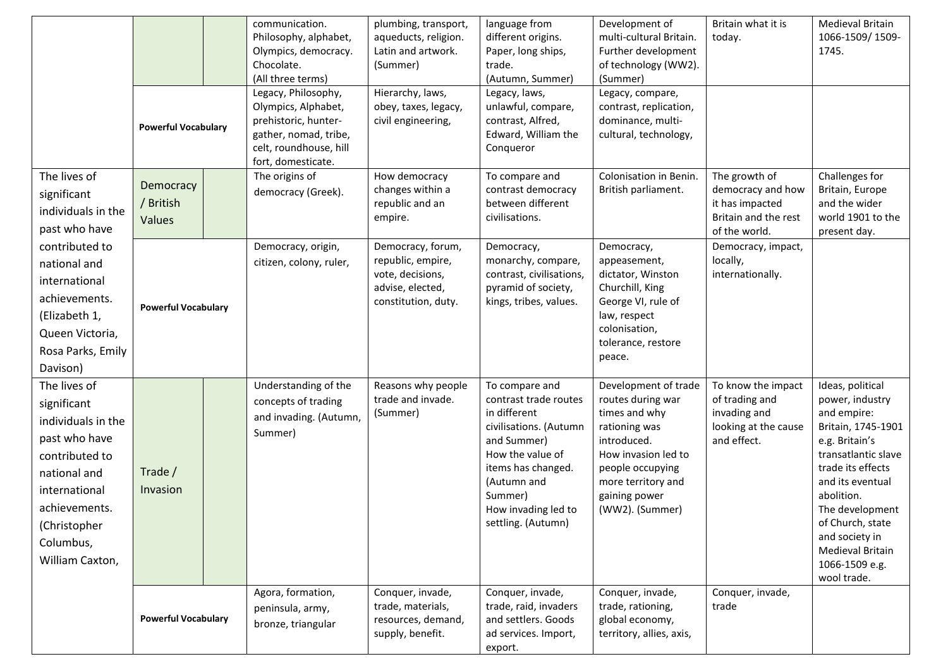|                                                                                                                                                                                        |                                  |  | communication.<br>Philosophy, alphabet,<br>Olympics, democracy.<br>Chocolate.<br>(All three terms)<br>Legacy, Philosophy, | plumbing, transport,<br>aqueducts, religion.<br>Latin and artwork.<br>(Summer)<br>Hierarchy, laws,    | language from<br>different origins.<br>Paper, long ships,<br>trade.<br>(Autumn, Summer)<br>Legacy, laws,                                                                                                          | Development of<br>multi-cultural Britain.<br>Further development<br>of technology (WW2).<br>(Summer)<br>Legacy, compare,                                                                        | Britain what it is<br>today.                                                                   | <b>Medieval Britain</b><br>1066-1509/1509-<br>1745.                                                                                                                                                                                                                                    |
|----------------------------------------------------------------------------------------------------------------------------------------------------------------------------------------|----------------------------------|--|---------------------------------------------------------------------------------------------------------------------------|-------------------------------------------------------------------------------------------------------|-------------------------------------------------------------------------------------------------------------------------------------------------------------------------------------------------------------------|-------------------------------------------------------------------------------------------------------------------------------------------------------------------------------------------------|------------------------------------------------------------------------------------------------|----------------------------------------------------------------------------------------------------------------------------------------------------------------------------------------------------------------------------------------------------------------------------------------|
|                                                                                                                                                                                        | <b>Powerful Vocabulary</b>       |  | Olympics, Alphabet,<br>prehistoric, hunter-<br>gather, nomad, tribe,<br>celt, roundhouse, hill<br>fort, domesticate.      | obey, taxes, legacy,<br>civil engineering,                                                            | unlawful, compare,<br>contrast, Alfred,<br>Edward, William the<br>Conqueror                                                                                                                                       | contrast, replication,<br>dominance, multi-<br>cultural, technology,                                                                                                                            |                                                                                                |                                                                                                                                                                                                                                                                                        |
| The lives of<br>significant<br>individuals in the<br>past who have                                                                                                                     | Democracy<br>/ British<br>Values |  | The origins of<br>democracy (Greek).                                                                                      | How democracy<br>changes within a<br>republic and an<br>empire.                                       | To compare and<br>contrast democracy<br>between different<br>civilisations.                                                                                                                                       | Colonisation in Benin.<br>British parliament.                                                                                                                                                   | The growth of<br>democracy and how<br>it has impacted<br>Britain and the rest<br>of the world. | Challenges for<br>Britain, Europe<br>and the wider<br>world 1901 to the<br>present day.                                                                                                                                                                                                |
| contributed to<br>national and<br>international<br>achievements.<br>(Elizabeth 1,<br>Queen Victoria,<br>Rosa Parks, Emily<br>Davison)                                                  | <b>Powerful Vocabulary</b>       |  | Democracy, origin,<br>citizen, colony, ruler,                                                                             | Democracy, forum,<br>republic, empire,<br>vote, decisions,<br>advise, elected,<br>constitution, duty. | Democracy,<br>monarchy, compare,<br>contrast, civilisations,<br>pyramid of society,<br>kings, tribes, values.                                                                                                     | Democracy,<br>appeasement,<br>dictator, Winston<br>Churchill, King<br>George VI, rule of<br>law, respect<br>colonisation,<br>tolerance, restore<br>peace.                                       | Democracy, impact,<br>locally,<br>internationally.                                             |                                                                                                                                                                                                                                                                                        |
| The lives of<br>significant<br>individuals in the<br>past who have<br>contributed to<br>national and<br>international<br>achievements.<br>(Christopher<br>Columbus,<br>William Caxton, | Trade /<br>Invasion              |  | Understanding of the<br>concepts of trading<br>and invading. (Autumn,<br>Summer)                                          | Reasons why people<br>trade and invade.<br>(Summer)                                                   | To compare and<br>contrast trade routes<br>in different<br>civilisations. (Autumn<br>and Summer)<br>How the value of<br>items has changed.<br>(Autumn and<br>Summer)<br>How invading led to<br>settling. (Autumn) | Development of trade<br>routes during war<br>times and why<br>rationing was<br>introduced.<br>How invasion led to<br>people occupying<br>more territory and<br>gaining power<br>(WW2). (Summer) | To know the impact<br>of trading and<br>invading and<br>looking at the cause<br>and effect.    | Ideas, political<br>power, industry<br>and empire:<br>Britain, 1745-1901<br>e.g. Britain's<br>transatlantic slave<br>trade its effects<br>and its eventual<br>abolition.<br>The development<br>of Church, state<br>and society in<br>Medieval Britain<br>1066-1509 e.g.<br>wool trade. |
|                                                                                                                                                                                        | <b>Powerful Vocabulary</b>       |  | Agora, formation,<br>peninsula, army,<br>bronze, triangular                                                               | Conquer, invade,<br>trade, materials,<br>resources, demand,<br>supply, benefit.                       | Conquer, invade,<br>trade, raid, invaders<br>and settlers. Goods<br>ad services. Import,<br>export.                                                                                                               | Conquer, invade,<br>trade, rationing,<br>global economy,<br>territory, allies, axis,                                                                                                            | Conquer, invade,<br>trade                                                                      |                                                                                                                                                                                                                                                                                        |